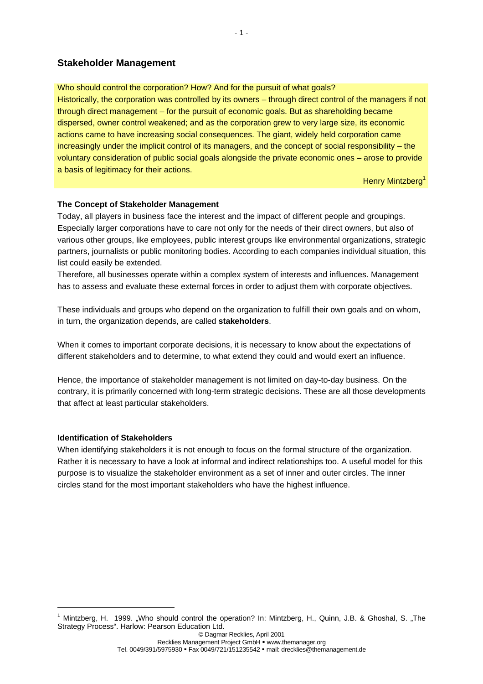# **Stakeholder Management**

Who should control the corporation? How? And for the pursuit of what goals? Historically, the corporation was controlled by its owners – through direct control of the managers if not through direct management – for the pursuit of economic goals. But as shareholding became dispersed, owner control weakened; and as the corporation grew to very large size, its economic actions came to have increasing social consequences. The giant, widely held corporation came increasingly under the implicit control of its managers, and the concept of social responsibility – the voluntary consideration of public social goals alongside the private economic ones – arose to provide a basis of legitimacy for their actions.

Henry Mintzberg<sup>1</sup>

## **The Concept of Stakeholder Management**

Today, all players in business face the interest and the impact of different people and groupings. Especially larger corporations have to care not only for the needs of their direct owners, but also of various other groups, like employees, public interest groups like environmental organizations, strategic partners, journalists or public monitoring bodies. According to each companies individual situation, this list could easily be extended.

Therefore, all businesses operate within a complex system of interests and influences. Management has to assess and evaluate these external forces in order to adjust them with corporate objectives.

These individuals and groups who depend on the organization to fulfill their own goals and on whom, in turn, the organization depends, are called **stakeholders**.

When it comes to important corporate decisions, it is necessary to know about the expectations of different stakeholders and to determine, to what extend they could and would exert an influence.

Hence, the importance of stakeholder management is not limited on day-to-day business. On the contrary, it is primarily concerned with long-term strategic decisions. These are all those developments that affect at least particular stakeholders.

## **Identification of Stakeholders**

1

When identifying stakeholders it is not enough to focus on the formal structure of the organization. Rather it is necessary to have a look at informal and indirect relationships too. A useful model for this purpose is to visualize the stakeholder environment as a set of inner and outer circles. The inner circles stand for the most important stakeholders who have the highest influence.

<sup>&</sup>lt;sup>1</sup> Mintzberg, H. 1999. "Who should control the operation? In: Mintzberg, H., Quinn, J.B. & Ghoshal, S. "The Strategy Process". Harlow: Pearson Education Ltd.

<sup>©</sup> Dagmar Recklies, April 2001 Recklies Management Project GmbH · www.themanager.org Tel. 0049/391/5975930 • Fax 0049/721/151235542 • mail: drecklies@themanagement.de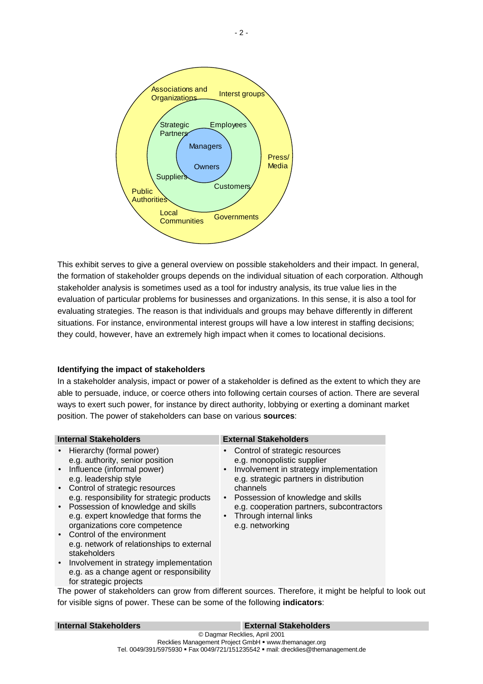

This exhibit serves to give a general overview on possible stakeholders and their impact. In general, the formation of stakeholder groups depends on the individual situation of each corporation. Although stakeholder analysis is sometimes used as a tool for industry analysis, its true value lies in the evaluation of particular problems for businesses and organizations. In this sense, it is also a tool for evaluating strategies. The reason is that individuals and groups may behave differently in different situations. For instance, environmental interest groups will have a low interest in staffing decisions; they could, however, have an extremely high impact when it comes to locational decisions.

## **Identifying the impact of stakeholders**

In a stakeholder analysis, impact or power of a stakeholder is defined as the extent to which they are able to persuade, induce, or coerce others into following certain courses of action. There are several ways to exert such power, for instance by direct authority, lobbying or exerting a dominant market position. The power of stakeholders can base on various **sources**:

### **Internal Stakeholders External Stakeholders**

- Hierarchy (formal power) e.g. authority, senior position
- Influence (informal power) e.g. leadership style
- Control of strategic resources e.g. responsibility for strategic products
- Possession of knowledge and skills e.g. expert knowledge that forms the organizations core competence
- Control of the environment e.g. network of relationships to external stakeholders
- Involvement in strategy implementation e.g. as a change agent or responsibility for strategic projects

- Control of strategic resources e.g. monopolistic supplier
- Involvement in strategy implementation e.g. strategic partners in distribution channels
- Possession of knowledge and skills e.g. cooperation partners, subcontractors
- Through internal links e.g. networking

The power of stakeholders can grow from different sources. Therefore, it might be helpful to look out for visible signs of power. These can be some of the following **indicators**:

| <b>Internal Stakeholders</b> | <b>External Stakeholders</b>  |  |
|------------------------------|-------------------------------|--|
|                              | © Dagmar Recklies, April 2001 |  |

#### Recklies Management Project GmbH · www.themanager.org Tel. 0049/391/5975930 • Fax 0049/721/151235542 • mail: drecklies@themanagement.de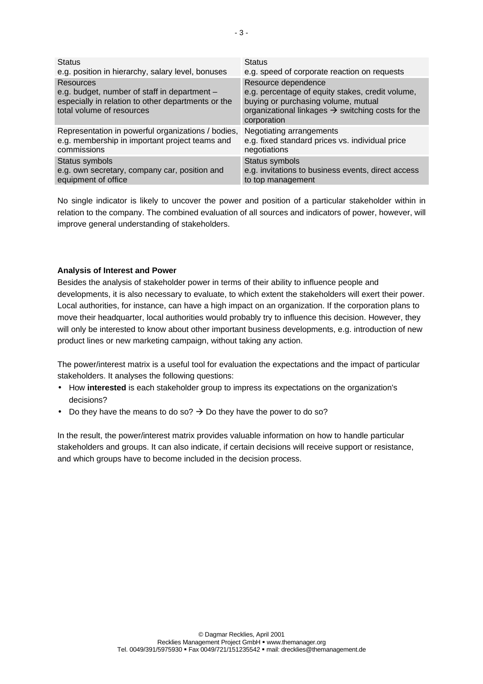| <b>Status</b>                                                                                                                                | <b>Status</b>                                                                                                                                                                                  |
|----------------------------------------------------------------------------------------------------------------------------------------------|------------------------------------------------------------------------------------------------------------------------------------------------------------------------------------------------|
| e.g. position in hierarchy, salary level, bonuses                                                                                            | e.g. speed of corporate reaction on requests                                                                                                                                                   |
| Resources<br>e.g. budget, number of staff in department -<br>especially in relation to other departments or the<br>total volume of resources | Resource dependence<br>e.g. percentage of equity stakes, credit volume,<br>buying or purchasing volume, mutual<br>organizational linkages $\rightarrow$ switching costs for the<br>corporation |
| Representation in powerful organizations / bodies,                                                                                           | Negotiating arrangements                                                                                                                                                                       |
| e.g. membership in important project teams and                                                                                               | e.g. fixed standard prices vs. individual price                                                                                                                                                |
| commissions                                                                                                                                  | negotiations                                                                                                                                                                                   |
| Status symbols                                                                                                                               | Status symbols                                                                                                                                                                                 |
| e.g. own secretary, company car, position and                                                                                                | e.g. invitations to business events, direct access                                                                                                                                             |
| equipment of office                                                                                                                          | to top management                                                                                                                                                                              |

No single indicator is likely to uncover the power and position of a particular stakeholder within in relation to the company. The combined evaluation of all sources and indicators of power, however, will improve general understanding of stakeholders.

## **Analysis of Interest and Power**

Besides the analysis of stakeholder power in terms of their ability to influence people and developments, it is also necessary to evaluate, to which extent the stakeholders will exert their power. Local authorities, for instance, can have a high impact on an organization. If the corporation plans to move their headquarter, local authorities would probably try to influence this decision. However, they will only be interested to know about other important business developments, e.g. introduction of new product lines or new marketing campaign, without taking any action.

The power/interest matrix is a useful tool for evaluation the expectations and the impact of particular stakeholders. It analyses the following questions:

- How **interested** is each stakeholder group to impress its expectations on the organization's decisions?
- Do they have the means to do so?  $\rightarrow$  Do they have the power to do so?

In the result, the power/interest matrix provides valuable information on how to handle particular stakeholders and groups. It can also indicate, if certain decisions will receive support or resistance, and which groups have to become included in the decision process.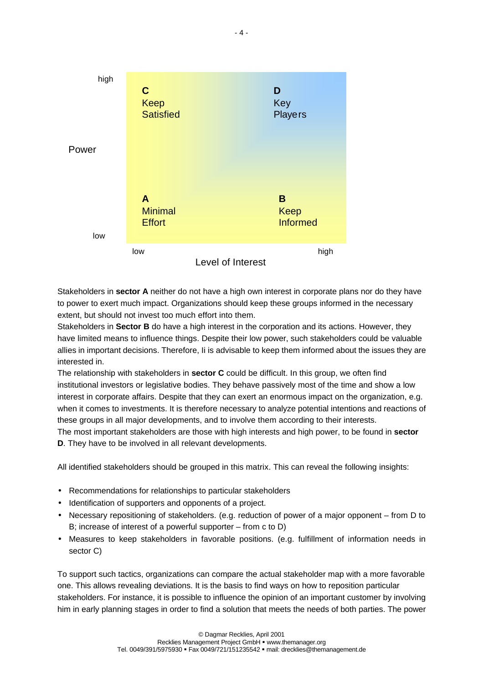

Stakeholders in **sector A** neither do not have a high own interest in corporate plans nor do they have to power to exert much impact. Organizations should keep these groups informed in the necessary extent, but should not invest too much effort into them.

Stakeholders in **Sector B** do have a high interest in the corporation and its actions. However, they have limited means to influence things. Despite their low power, such stakeholders could be valuable allies in important decisions. Therefore, Ii is advisable to keep them informed about the issues they are interested in.

The relationship with stakeholders in **sector C** could be difficult. In this group, we often find institutional investors or legislative bodies. They behave passively most of the time and show a low interest in corporate affairs. Despite that they can exert an enormous impact on the organization, e.g. when it comes to investments. It is therefore necessary to analyze potential intentions and reactions of these groups in all major developments, and to involve them according to their interests.

The most important stakeholders are those with high interests and high power, to be found in **sector D**. They have to be involved in all relevant developments.

All identified stakeholders should be grouped in this matrix. This can reveal the following insights:

- Recommendations for relationships to particular stakeholders
- Identification of supporters and opponents of a project.
- Necessary repositioning of stakeholders. (e.g. reduction of power of a major opponent from D to B; increase of interest of a powerful supporter – from c to D)
- Measures to keep stakeholders in favorable positions. (e.g. fulfillment of information needs in sector C)

To support such tactics, organizations can compare the actual stakeholder map with a more favorable one. This allows revealing deviations. It is the basis to find ways on how to reposition particular stakeholders. For instance, it is possible to influence the opinion of an important customer by involving him in early planning stages in order to find a solution that meets the needs of both parties. The power